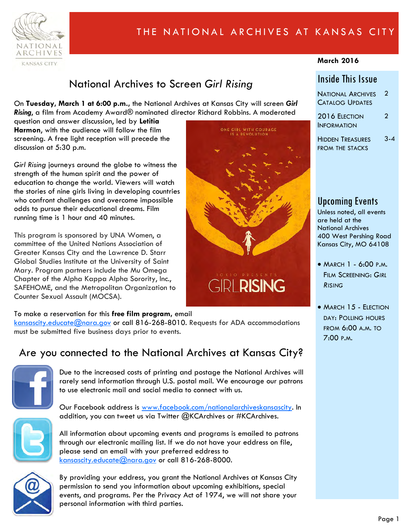

# THE NATIONAL ARCHIVES AT KANSAS CITY

#### **March 2016**

## National Archives to Screen *Girl Rising*

On **Tuesday, March 1 at 6:00 p.m.,** the National Archives at Kansas City will screen *Girl Rising*, a film from Academy Award® nominated director Richard Robbins. A moderated

question and answer discussion, led by **Letitia Harmon**, with the audience will follow the film screening. A free light reception will precede the discussion at 5:30 p.m.

*Girl Rising* journeys around the globe to witness the strength of the human spirit and the power of education to change the world. Viewers will watch the stories of nine girls living in developing countries who confront challenges and overcome impossible odds to pursue their educational dreams. Film running time is 1 hour and 40 minutes.

This program is sponsored by UNA Women, a committee of the United Nations Association of Greater Kansas City and the Lawrence D. Starr Global Studies Institute at the University of Saint Mary. Program partners include the Mu Omega Chapter of the Alpha Kappa Alpha Sorority, Inc., SAFEHOME, and the Metropolitan Organization to Counter Sexual Assault (MOCSA).

#### To make a reservation for this **free film program,** email

[kansascity.educate@nara.gov o](mailto:kansascity.educate@nara.gov)r call 816-268-8010. Requests for ADA accommodations must be submitted five business days prior to events.

## Are you connected to the National Archives at Kansas City?



Due to the increased costs of printing and postage the National Archives will rarely send information through U.S. postal mail. We encourage our patrons to use electronic mail and social media to connect with us.

Our Facebook address is [www.facebook.com/nationalarchiveskansascity.](http://www.facebook.com/nationalarchiveskansascity) In addition, you can tweet us via Twitter @KCArchives or #KCArchives.



All information about upcoming events and programs is emailed to patrons through our electronic mailing list. If we do not have your eddress on file, please send an email with your preferred eddress to [kansascity.educate@nara.gov](mailto:kansascity.educate@nara.gov) or call 816-268-8000.



By providing your eddress, you grant the National Archives at Kansas City permission to send you information about upcoming exhibitions, special events, and programs. Per the Privacy Act of 1974, we will not share your personal information with third parties.



### Inside This Issue

| National Archives      | $\overline{2}$ |
|------------------------|----------------|
| <b>CATALOG UPDATES</b> |                |

2016 ELECTION **INFORMATION**  $\overline{2}$ 

HIDDEN TREASURES FROM THE STACKS 3-4

### Upcoming Events

Unless noted, all events are held at the National Archives 400 West Pershing Road Kansas City, MO 64108

- MARCH 1 6:00 P.M. FILM SCREENING: *GIRL RISING*
- MARCH 15 ELECTION DAY: POLLING HOURS FROM 6:00 A.M. TO 7:00 P.M.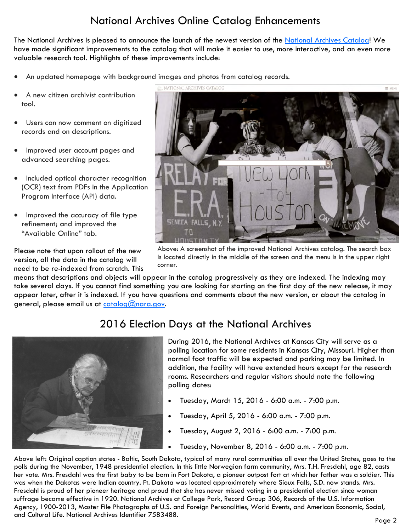# National Archives Online Catalog Enhancements

The National Archives is pleased to announce the launch of the newest version of the [National Archives Catalog!](https://catalog.archives.gov/) We have made significant improvements to the catalog that will make it easier to use, more interactive, and an even more valuable research tool. Highlights of these improvements include:

- An updated homepage with background images and photos from catalog records.
- A new citizen archivist contribution tool.
- Users can now comment on digitized records and on descriptions.
- Improved user account pages and advanced searching pages.
- Included optical character recognition (OCR) text from PDFs in the Application Program Interface (API) data.
- Improved the accuracy of file type refinement; and improved the "Available Online" tab.

Please note that upon rollout of the new version, all the data in the catalog will need to be re-indexed from scratch. This

means that descriptions and objects will appear in the catalog progressively as they are indexed. The indexing may take several days. If you cannot find something you are looking for starting on the first day of the new release, it may appear later, after it is indexed. If you have questions and comments about the new version, or about the catalog in general, please email us at  $\frac{\text{catalog}(Q) \cdot \text{rarg}(Q)}{Q}$ 

corner.



2016 Election Days at the National Archives

During 2016, the National Archives at Kansas City will serve as a polling location for some residents in Kansas City, Missouri. Higher than normal foot traffic will be expected and parking may be limited. In addition, the facility will have extended hours except for the research rooms. Researchers and regular visitors should note the following polling dates:

- Tuesday, March 15, 2016 6:00 a.m. 7:00 p.m.
- Tuesday, April 5, 2016 6:00 a.m. 7:00 p.m.
- Tuesday, August 2, 2016 6:00 a.m. 7:00 p.m.
- Tuesday, November 8, 2016 6:00 a.m. 7:00 p.m.

Above left: Original caption states - Baltic, South Dakota, typical of many rural communities all over the United States, goes to the polls during the November, 1948 presidential election. In this little Norwegian farm community, Mrs. T.H. Fresdahl, age 82, casts her vote. Mrs. Fresdahl was the first baby to be born in Fort Dakota, a pioneer outpost fort at which her father was a soldier. This was when the Dakotas were Indian country. Ft. Dakota was located approximately where Sioux Falls, S.D. now stands. Mrs. Fresdahl is proud of her pioneer heritage and proud that she has never missed voting in a presidential election since woman suffrage became effective in 1920. National Archives at College Park, Record Group 306, Records of the U.S. Information Agency, 1900-2013, Master File Photographs of U.S. and Foreign Personalities, World Events, and American Economic, Social, and Cultural Life. National Archives Identifier 7583488.



is located directly in the middle of the screen and the menu is in the upper right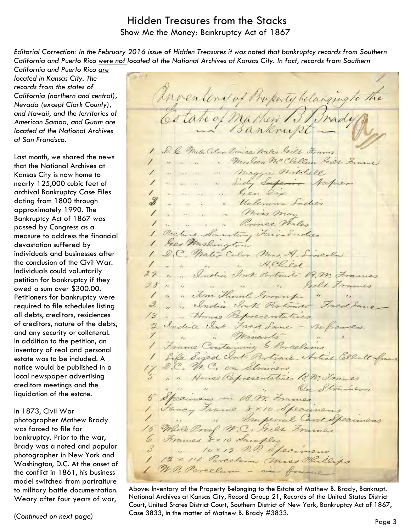### Hidden Treasures from the Stacks Show Me the Money: Bankruptcy Act of 1867

*Editorial Correction: In the February 2016 issue of Hidden Treasures it was noted that bankruptcy records from Southern California and Puerto Rico were not located at the National Archives at Kansas City. In fact, records from Southern* 

*California and Puerto Rico are located in Kansas City. The records from the states of California (northern and central), Nevada (except Clark County), and Hawaii, and the territories of American Samoa, and Guam are located at the National Archives at San Francisco.* 

Last month, we shared the news that the National Archives at Kansas City is now home to nearly 125,000 cubic feet of archival Bankruptcy Case Files dating from 1800 through approximately 1990. The Bankruptcy Act of 1867 was passed by Congress as a measure to address the financial devastation suffered by individuals and businesses after the conclusion of the Civil War. Individuals could voluntarily petition for bankruptcy if they owed a sum over \$300.00. Petitioners for bankruptcy were required to file schedules listing all debts, creditors, residences of creditors, nature of the debts, and any security or collateral. In addition to the petition, an inventory of real and personal estate was to be included. A notice would be published in a local newspaper advertising creditors meetings and the liquidation of the estate.

#### In 1873, Civil War

photographer Mathew Brady was forced to file for bankruptcy. Prior to the war, Brady was a noted and popular photographer in New York and Washington, D.C. At the onset of the conflict in 1861, his business model switched from portraiture to military battle documentation. Weary after four years of war,

Matheri BB nady Cotate of 1 1 D. C. MaterColor Prince Water Gilt Frame 1 " " " " Mrs Gen Mc Clellan Giet Frame I a a a maggie mitchell " " " Sady Superior Napier 1 . . . . Gen dix " "Unlemmon Saches 1 . . . . Miss may 1 . . . . Primee Wales 1 Picture Sanding Fair- Sudies 1 Geo. Washington 1 D.C. Mater Coler Mrs. A. Lincoln. 1 . " " " Helied 11 .. India Sort doctrats 18.2 Frames It is in in the Bill Frames 1 " " Tom Huml Group " " " " India Ink Pertrait Fred Same " House Representatives 2 India Int Fred Same - Inframes 1 " minerals" " 1 France Containing 6 Parcelains Life Sized club Pertrain Articl Ellett 17 D.C. M.C. on Strainers " " House Representatives to M. Trames " " On Strains 5 Specimens in 13. M. Frames Jancy Frame 8×10 Specimens " " Imperial Care Specimens 15 Male Proof M.C. Sier Frances 6 Francs 8x10 Samples 3 " lox19 D.D. Specimens 1 12× 14 Porcelain Unices Phillips 1 N. P. Porcelam - in france

An ventene of Property belanging to the

Above: Inventory of the Property Belonging to the Estate of Mathew B. Brady, Bankrupt. National Archives at Kansas City, Record Group 21, Records of the United States District Court, United States District Court, Southern District of New York, Bankruptcy Act of 1867, Case 3833, in the matter of Mathew B. Brady #3833.